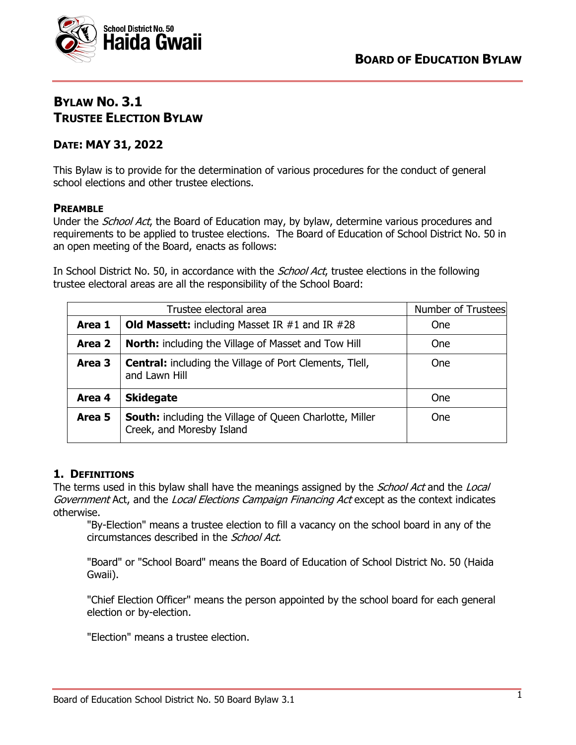

# **BYLAW NO. 3.1 TRUSTEE ELECTION BYLAW**

## **DATE: MAY 31, 2022**

This Bylaw is to provide for the determination of various procedures for the conduct of general school elections and other trustee elections.

## **PREAMBLE**

Under the *School Act*, the Board of Education may, by bylaw, determine various procedures and requirements to be applied to trustee elections. The Board of Education of School District No. 50 in an open meeting of the Board, enacts as follows:

In School District No. 50, in accordance with the *School Act*, trustee elections in the following trustee electoral areas are all the responsibility of the School Board:

| Trustee electoral area |                                                                                             | Number of Trustees |
|------------------------|---------------------------------------------------------------------------------------------|--------------------|
| Area 1                 | <b>Old Massett:</b> including Masset IR $#1$ and IR $#28$                                   | <b>One</b>         |
| Area 2                 | <b>North:</b> including the Village of Masset and Tow Hill                                  | <b>One</b>         |
| Area 3                 | <b>Central:</b> including the Village of Port Clements, Tlell,<br>and Lawn Hill             | <b>One</b>         |
| Area 4                 | <b>Skidegate</b>                                                                            | <b>One</b>         |
| Area 5                 | <b>South:</b> including the Village of Queen Charlotte, Miller<br>Creek, and Moresby Island | <b>One</b>         |

## **1. DEFINITIONS**

The terms used in this bylaw shall have the meanings assigned by the *School Act* and the *Local* Government Act, and the Local Elections Campaign Financing Act except as the context indicates otherwise.

"By-Election" means a trustee election to fill a vacancy on the school board in any of the circumstances described in the School Act.

"Board" or "School Board" means the Board of Education of School District No. 50 (Haida Gwaii).

"Chief Election Officer" means the person appointed by the school board for each general election or by-election.

"Election" means a trustee election.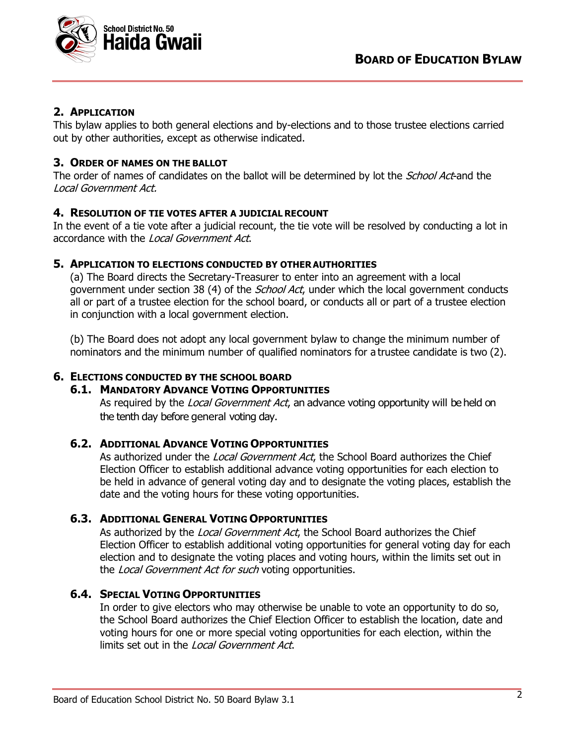

## **2. APPLICATION**

This bylaw applies to both general elections and by-elections and to those trustee elections carried out by other authorities, except as otherwise indicated.

## **3. ORDER OF NAMES ON THE BALLOT**

The order of names of candidates on the ballot will be determined by lot the *School Act*-and the Local Government Act.

## **4. RESOLUTION OF TIE VOTES AFTER A JUDICIAL RECOUNT**

In the event of a tie vote after a judicial recount, the tie vote will be resolved by conducting a lot in accordance with the Local Government Act.

## **5. APPLICATION TO ELECTIONS CONDUCTED BY OTHER AUTHORITIES**

(a) The Board directs the Secretary-Treasurer to enter into an agreement with a local government under section 38 (4) of the *School Act*, under which the local government conducts all or part of a trustee election for the school board, or conducts all or part of a trustee election in conjunction with a local government election.

(b) The Board does not adopt any local government bylaw to change the minimum number of nominators and the minimum number of qualified nominators for a trustee candidate is two (2).

## **6. ELECTIONS CONDUCTED BY THE SCHOOL BOARD**

#### **6.1. MANDATORY ADVANCE VOTING OPPORTUNITIES**

As required by the Local Government Act, an advance voting opportunity will be held on the tenth day before general voting day.

#### **6.2. ADDITIONAL ADVANCE VOTING OPPORTUNITIES**

As authorized under the Local Government Act, the School Board authorizes the Chief Election Officer to establish additional advance voting opportunities for each election to be held in advance of general voting day and to designate the voting places, establish the date and the voting hours for these voting opportunities.

## **6.3. ADDITIONAL GENERAL VOTING OPPORTUNITIES**

As authorized by the Local Government Act, the School Board authorizes the Chief Election Officer to establish additional voting opportunities for general voting day for each election and to designate the voting places and voting hours, within the limits set out in the Local Government Act for such voting opportunities.

## **6.4. SPECIAL VOTING OPPORTUNITIES**

In order to give electors who may otherwise be unable to vote an opportunity to do so, the School Board authorizes the Chief Election Officer to establish the location, date and voting hours for one or more special voting opportunities for each election, within the limits set out in the Local Government Act.